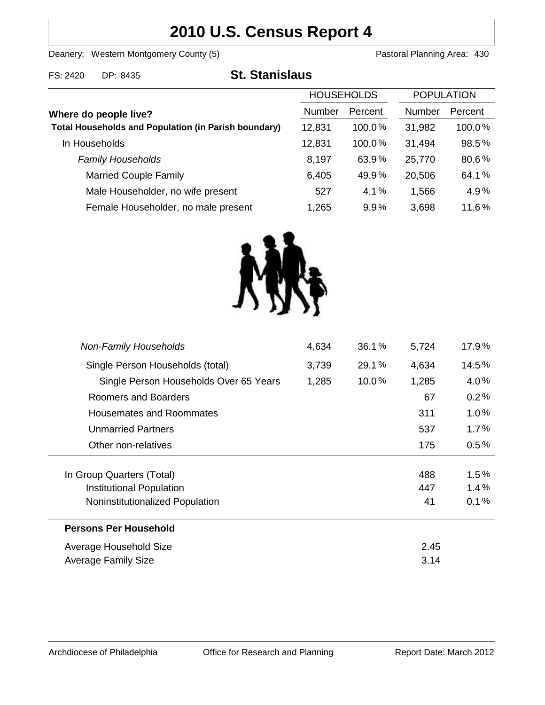# **2010 U.S. Census Report 4**

Deanery: Western Montgomery County (5) County (5) Pastoral Planning Area: 430

FS: 2420 DP: 8435 **St. Stanislaus**

|                                                             | <b>HOUSEHOLDS</b> |           | <b>POPULATION</b> |         |
|-------------------------------------------------------------|-------------------|-----------|-------------------|---------|
| Where do people live?                                       | Number            | Percent   | Number            | Percent |
| <b>Total Households and Population (in Parish boundary)</b> | 12,831            | $100.0\%$ | 31,982            | 100.0%  |
| In Households                                               | 12,831            | 100.0%    | 31,494            | 98.5%   |
| <b>Family Households</b>                                    | 8,197             | 63.9%     | 25,770            | 80.6%   |
| <b>Married Couple Family</b>                                | 6,405             | 49.9%     | 20,506            | 64.1%   |
| Male Householder, no wife present                           | 527               | 4.1%      | 1,566             | 4.9%    |
| Female Householder, no male present                         | 1,265             | 9.9%      | 3,698             | 11.6%   |



| <b>Non-Family Households</b>           | 4,634 | 36.1% | 5,724 | 17.9%   |
|----------------------------------------|-------|-------|-------|---------|
| Single Person Households (total)       | 3,739 | 29.1% | 4,634 | 14.5%   |
| Single Person Households Over 65 Years | 1,285 | 10.0% | 1,285 | 4.0%    |
| Roomers and Boarders                   |       |       | 67    | 0.2%    |
| <b>Housemates and Roommates</b>        |       |       | 311   | 1.0%    |
| <b>Unmarried Partners</b>              |       |       | 537   | $1.7\%$ |
| Other non-relatives                    |       |       | 175   | 0.5%    |
| In Group Quarters (Total)              |       |       | 488   | 1.5%    |
| <b>Institutional Population</b>        |       |       | 447   | 1.4%    |
| Noninstitutionalized Population        |       |       | 41    | 0.1%    |
| Persons Per Household                  |       |       |       |         |
| Average Household Size                 |       |       | 2.45  |         |
| <b>Average Family Size</b>             |       |       | 3.14  |         |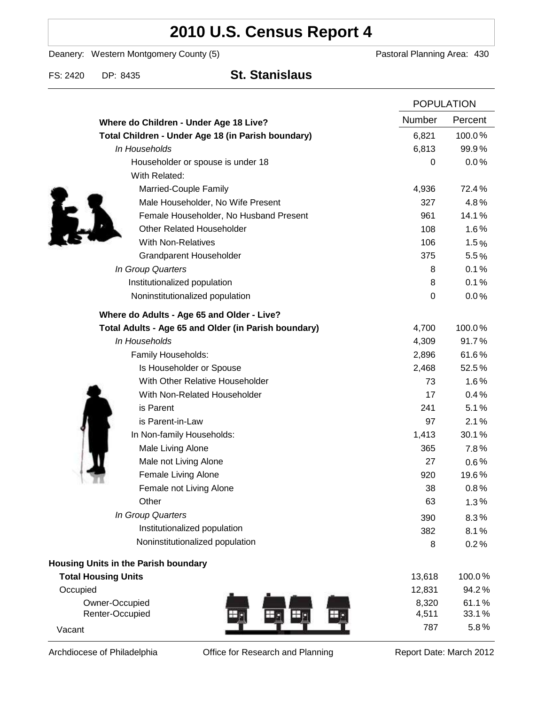# **2010 U.S. Census Report 4**

Deanery: Western Montgomery County (5) Deanery: Western Montgomery County (5)

FS: 2420 DP: 8435 **St. Stanislaus**

|                                                      |        | <b>POPULATION</b> |  |
|------------------------------------------------------|--------|-------------------|--|
| Where do Children - Under Age 18 Live?               | Number | Percent           |  |
| Total Children - Under Age 18 (in Parish boundary)   | 6,821  | 100.0%            |  |
| In Households                                        | 6,813  | 99.9%             |  |
| Householder or spouse is under 18                    | 0      | 0.0%              |  |
| With Related:                                        |        |                   |  |
| Married-Couple Family                                | 4,936  | 72.4%             |  |
| Male Householder, No Wife Present                    | 327    | 4.8%              |  |
| Female Householder, No Husband Present               | 961    | 14.1%             |  |
| <b>Other Related Householder</b>                     | 108    | 1.6%              |  |
| <b>With Non-Relatives</b>                            | 106    | 1.5%              |  |
| <b>Grandparent Householder</b>                       | 375    | 5.5%              |  |
| In Group Quarters                                    | 8      | 0.1%              |  |
| Institutionalized population                         | 8      | 0.1%              |  |
| Noninstitutionalized population                      | 0      | 0.0%              |  |
| Where do Adults - Age 65 and Older - Live?           |        |                   |  |
| Total Adults - Age 65 and Older (in Parish boundary) | 4,700  | 100.0%            |  |
| In Households                                        | 4,309  | 91.7%             |  |
| Family Households:                                   | 2,896  | 61.6%             |  |
| Is Householder or Spouse                             | 2,468  | 52.5%             |  |
| With Other Relative Householder                      | 73     | 1.6%              |  |
| With Non-Related Householder                         | 17     | 0.4%              |  |
| is Parent                                            | 241    | 5.1%              |  |
| is Parent-in-Law                                     | 97     | 2.1%              |  |
| In Non-family Households:                            | 1,413  | 30.1%             |  |
| Male Living Alone                                    | 365    | 7.8%              |  |
| Male not Living Alone                                | 27     | $0.6\%$           |  |
| Female Living Alone                                  | 920    | 19.6%             |  |
| Female not Living Alone                              | 38     | 0.8%              |  |
| Other                                                | 63     | 1.3%              |  |
| In Group Quarters                                    | 390    | 8.3%              |  |
| Institutionalized population                         | 382    | 8.1%              |  |
| Noninstitutionalized population                      | 8      | 0.2%              |  |
| <b>Housing Units in the Parish boundary</b>          |        |                   |  |
| <b>Total Housing Units</b>                           | 13,618 | 100.0%            |  |
| Occupied                                             | 12,831 | 94.2%             |  |
| Owner-Occupied                                       | 8,320  | 61.1%             |  |
| Renter-Occupied<br>$\boldsymbol{\oplus}$             | 4,511  | 33.1%             |  |
| Vacant                                               | 787    | 5.8%              |  |

Archdiocese of Philadelphia **Office for Research and Planning** Report Date: March 2012